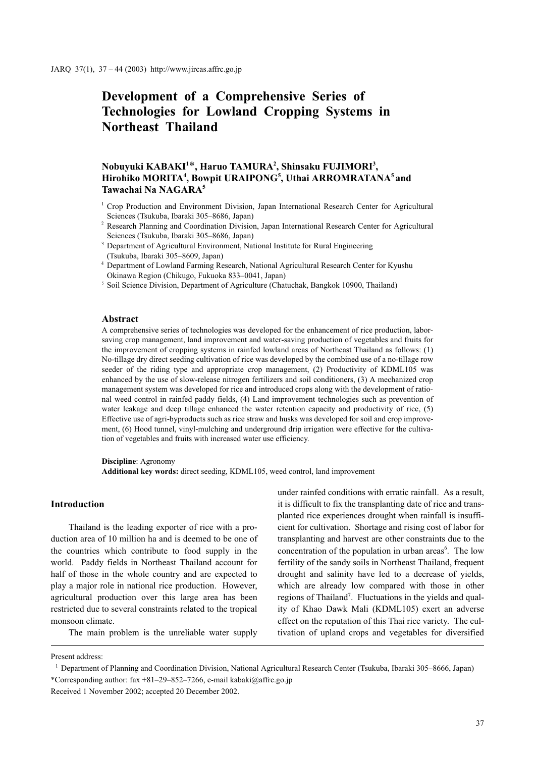# Development of a Comprehensive Series of Technologies for Lowland Cropping Systems in Northeast Thailand

## Nobuyuki KABAKI<sup>1\*</sup>, Haruo TAMURA<sup>2</sup>, Shinsaku FUJIMORI<sup>3</sup>, Hirohiko MORITA<sup>4</sup>, Bowpit URAIPONG<sup>5</sup>, Uthai ARROMRATANA<sup>5</sup> and Tawachai Na NAGARA<sup>5</sup>

- <sup>1</sup> Crop Production and Environment Division, Japan International Research Center for Agricultural Sciences (Tsukuba, Ibaraki 305–8686, Japan)
- <sup>2</sup> Research Planning and Coordination Division, Japan International Research Center for Agricultural Sciences (Tsukuba, Ibaraki 305–8686, Japan)
- <sup>3</sup> Department of Agricultural Environment, National Institute for Rural Engineering (Tsukuba, Ibaraki 305–8609, Japan)
- Department of Lowland Farming Research, National Agricultural Research Center for Kyushu Okinawa Region (Chikugo, Fukuoka 833–0041, Japan)
- <sup>5</sup> Soil Science Division, Department of Agriculture (Chatuchak, Bangkok 10900, Thailand)

#### Abstract

A comprehensive series of technologies was developed for the enhancement of rice production, laborsaving crop management, land improvement and water-saving production of vegetables and fruits for the improvement of cropping systems in rainfed lowland areas of Northeast Thailand as follows: (1) No-tillage dry direct seeding cultivation of rice was developed by the combined use of a no-tillage row seeder of the riding type and appropriate crop management, (2) Productivity of KDML105 was enhanced by the use of slow-release nitrogen fertilizers and soil conditioners, (3) A mechanized crop management system was developed for rice and introduced crops along with the development of rational weed control in rainfed paddy fields, (4) Land improvement technologies such as prevention of water leakage and deep tillage enhanced the water retention capacity and productivity of rice, (5) Effective use of agri-byproducts such as rice straw and husks was developed for soil and crop improvement, (6) Hood tunnel, vinyl-mulching and underground drip irrigation were effective for the cultivation of vegetables and fruits with increased water use efficiency.

#### Discipline: Agronomy

Additional key words: direct seeding, KDML105, weed control, land improvement

### Introduction

Thailand is the leading exporter of rice with a production area of 10 million ha and is deemed to be one of the countries which contribute to food supply in the world. Paddy fields in Northeast Thailand account for half of those in the whole country and are expected to play a major role in national rice production. However, agricultural production over this large area has been restricted due to several constraints related to the tropical monsoon climate.

The main problem is the unreliable water supply

under rainfed conditions with erratic rainfall. As a result, it is difficult to fix the transplanting date of rice and transplanted rice experiences drought when rainfall is insufficient for cultivation. Shortage and rising cost of labor for transplanting and harvest are other constraints due to the concentration of the population in urban areas<sup>6</sup>. The low fertility of the sandy soils in Northeast Thailand, frequent drought and salinity have led to a decrease of yields, which are already low compared with those in other regions of Thailand<sup>7</sup>. Fluctuations in the yields and quality of Khao Dawk Mali (KDML105) exert an adverse effect on the reputation of this Thai rice variety. The cultivation of upland crops and vegetables for diversified

Present address:

Department of Planning and Coordination Division, National Agricultural Research Center (Tsukuba, Ibaraki 305–8666, Japan) \*Corresponding author: fax +81–29–852–7266, e-mail kabaki@affrc.go.jp

Received 1 November 2002; accepted 20 December 2002.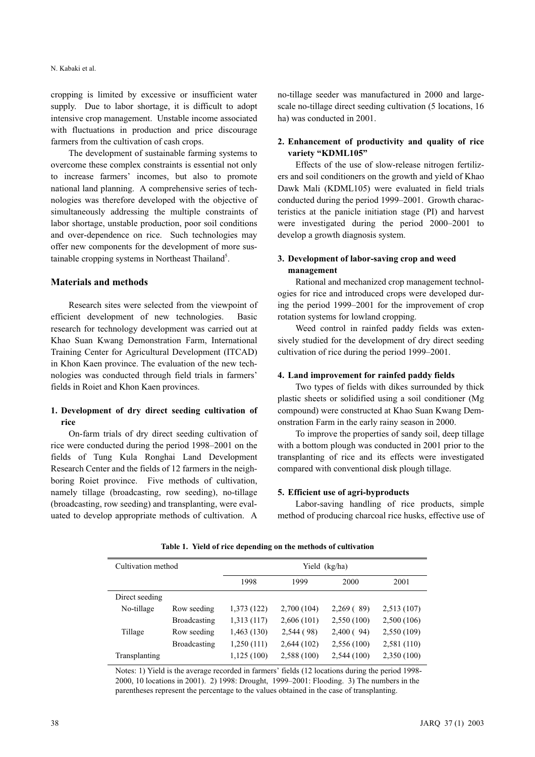cropping is limited by excessive or insufficient water supply. Due to labor shortage, it is difficult to adopt intensive crop management. Unstable income associated with fluctuations in production and price discourage farmers from the cultivation of cash crops.

The development of sustainable farming systems to overcome these complex constraints is essential not only to increase farmers' incomes, but also to promote national land planning. A comprehensive series of technologies was therefore developed with the objective of simultaneously addressing the multiple constraints of labor shortage, unstable production, poor soil conditions and over-dependence on rice. Such technologies may offer new components for the development of more sustainable cropping systems in Northeast Thailand<sup>5</sup>.

#### Materials and methods

Research sites were selected from the viewpoint of efficient development of new technologies. Basic research for technology development was carried out at Khao Suan Kwang Demonstration Farm, International Training Center for Agricultural Development (ITCAD) in Khon Kaen province. The evaluation of the new technologies was conducted through field trials in farmers' fields in Roiet and Khon Kaen provinces.

#### 1. Development of dry direct seeding cultivation of rice

On-farm trials of dry direct seeding cultivation of rice were conducted during the period 1998–2001 on the fields of Tung Kula Ronghai Land Development Research Center and the fields of 12 farmers in the neighboring Roiet province. Five methods of cultivation, namely tillage (broadcasting, row seeding), no-tillage (broadcasting, row seeding) and transplanting, were evaluated to develop appropriate methods of cultivation. A no-tillage seeder was manufactured in 2000 and largescale no-tillage direct seeding cultivation (5 locations, 16 ha) was conducted in 2001.

### 2. Enhancement of productivity and quality of rice variety "KDML105"

Effects of the use of slow-release nitrogen fertilizers and soil conditioners on the growth and yield of Khao Dawk Mali (KDML105) were evaluated in field trials conducted during the period 1999–2001. Growth characteristics at the panicle initiation stage (PI) and harvest were investigated during the period 2000–2001 to develop a growth diagnosis system.

### 3. Development of labor-saving crop and weed management

Rational and mechanized crop management technologies for rice and introduced crops were developed during the period 1999–2001 for the improvement of crop rotation systems for lowland cropping.

Weed control in rainfed paddy fields was extensively studied for the development of dry direct seeding cultivation of rice during the period 1999–2001.

#### 4. Land improvement for rainfed paddy fields

Two types of fields with dikes surrounded by thick plastic sheets or solidified using a soil conditioner (Mg compound) were constructed at Khao Suan Kwang Demonstration Farm in the early rainy season in 2000.

To improve the properties of sandy soil, deep tillage with a bottom plough was conducted in 2001 prior to the transplanting of rice and its effects were investigated compared with conventional disk plough tillage.

#### 5. Efficient use of agri-byproducts

Labor-saving handling of rice products, simple method of producing charcoal rice husks, effective use of

| Cultivation method |                     | Yield (kg/ha) |             |             |             |  |
|--------------------|---------------------|---------------|-------------|-------------|-------------|--|
|                    |                     | 1998          | 1999        | 2000        | 2001        |  |
| Direct seeding     |                     |               |             |             |             |  |
| No-tillage         | Row seeding         | 1,373 (122)   | 2,700 (104) | 2,269(89)   | 2,513(107)  |  |
|                    | <b>Broadcasting</b> | 1,313 (117)   | 2,606(101)  | 2,550(100)  | 2,500(106)  |  |
| Tillage            | Row seeding         | 1,463(130)    | 2,544 (98)  | 2,400(94)   | 2,550(109)  |  |
|                    | Broadcasting        | 1,250(111)    | 2,644 (102) | 2,556 (100) | 2,581 (110) |  |
| Transplanting      |                     | 1,125(100)    | 2,588 (100) | 2,544(100)  | 2,350(100)  |  |

Table 1. Yield of rice depending on the methods of cultivation

Notes: 1) Yield is the average recorded in farmers' fields (12 locations during the period 1998- 2000, 10 locations in 2001). 2) 1998: Drought, 1999–2001: Flooding. 3) The numbers in the parentheses represent the percentage to the values obtained in the case of transplanting.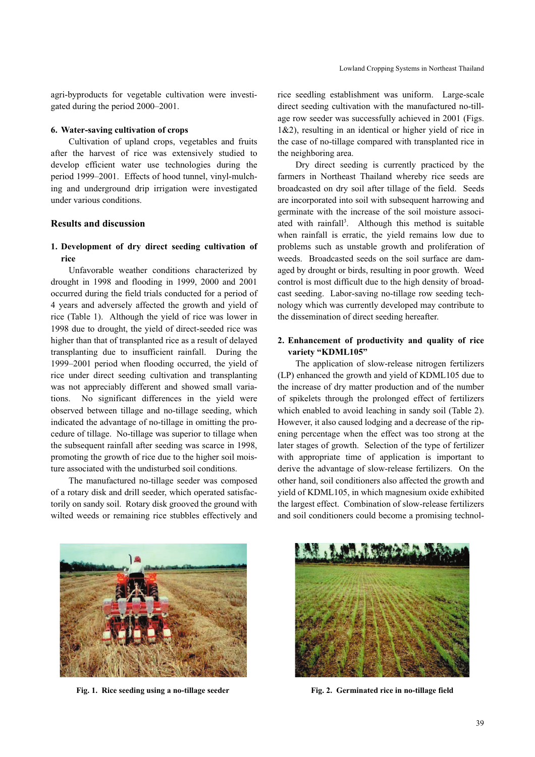agri-byproducts for vegetable cultivation were investigated during the period 2000–2001.

#### 6. Water-saving cultivation of crops

Cultivation of upland crops, vegetables and fruits after the harvest of rice was extensively studied to develop efficient water use technologies during the period 1999–2001. Effects of hood tunnel, vinyl-mulching and underground drip irrigation were investigated under various conditions.

### Results and discussion

### 1. Development of dry direct seeding cultivation of rice

Unfavorable weather conditions characterized by drought in 1998 and flooding in 1999, 2000 and 2001 occurred during the field trials conducted for a period of 4 years and adversely affected the growth and yield of rice (Table 1). Although the yield of rice was lower in 1998 due to drought, the yield of direct-seeded rice was higher than that of transplanted rice as a result of delayed transplanting due to insufficient rainfall. During the 1999–2001 period when flooding occurred, the yield of rice under direct seeding cultivation and transplanting was not appreciably different and showed small variations. No significant differences in the yield were observed between tillage and no-tillage seeding, which indicated the advantage of no-tillage in omitting the procedure of tillage. No-tillage was superior to tillage when the subsequent rainfall after seeding was scarce in 1998, promoting the growth of rice due to the higher soil moisture associated with the undisturbed soil conditions.

The manufactured no-tillage seeder was composed of a rotary disk and drill seeder, which operated satisfactorily on sandy soil. Rotary disk grooved the ground with wilted weeds or remaining rice stubbles effectively and rice seedling establishment was uniform. Large-scale direct seeding cultivation with the manufactured no-tillage row seeder was successfully achieved in 2001 (Figs. 1&2), resulting in an identical or higher yield of rice in the case of no-tillage compared with transplanted rice in the neighboring area.

Dry direct seeding is currently practiced by the farmers in Northeast Thailand whereby rice seeds are broadcasted on dry soil after tillage of the field. Seeds are incorporated into soil with subsequent harrowing and germinate with the increase of the soil moisture associated with rainfall<sup>3</sup>. Although this method is suitable when rainfall is erratic, the yield remains low due to problems such as unstable growth and proliferation of weeds. Broadcasted seeds on the soil surface are damaged by drought or birds, resulting in poor growth. Weed control is most difficult due to the high density of broadcast seeding. Labor-saving no-tillage row seeding technology which was currently developed may contribute to the dissemination of direct seeding hereafter.

### 2. Enhancement of productivity and quality of rice variety "KDML105"

The application of slow-release nitrogen fertilizers (LP) enhanced the growth and yield of KDML105 due to the increase of dry matter production and of the number of spikelets through the prolonged effect of fertilizers which enabled to avoid leaching in sandy soil (Table 2). However, it also caused lodging and a decrease of the ripening percentage when the effect was too strong at the later stages of growth. Selection of the type of fertilizer with appropriate time of application is important to derive the advantage of slow-release fertilizers. On the other hand, soil conditioners also affected the growth and yield of KDML105, in which magnesium oxide exhibited the largest effect. Combination of slow-release fertilizers and soil conditioners could become a promising technol-



Fig. 1. Rice seeding using a no-tillage seeder Fig. 2. Germinated rice in no-tillage field

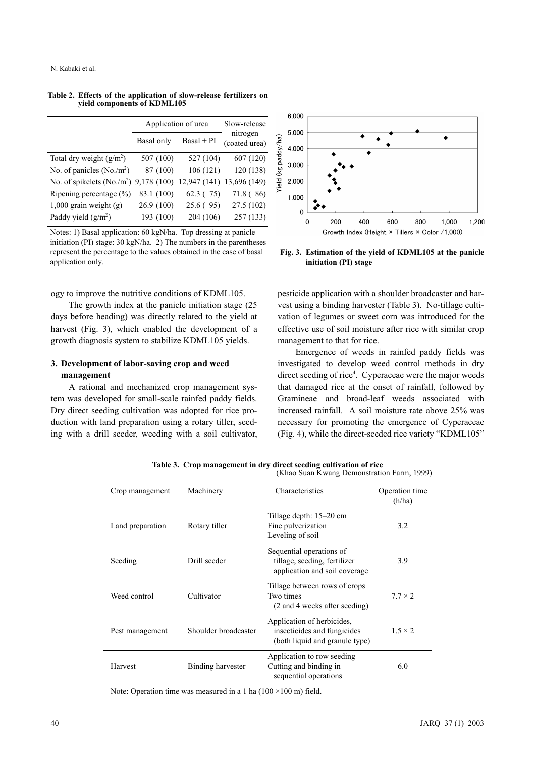|                                                                              | Application of urea | Slow-release |                           |
|------------------------------------------------------------------------------|---------------------|--------------|---------------------------|
|                                                                              | Basal only          | $Basal + PI$ | nitrogen<br>(coated urea) |
| Total dry weight $(g/m2)$                                                    | 507 (100)           | 527 (104)    | 607 (120)                 |
| No. of panicles $(No./m^2)$                                                  | 87 (100)            | 106(121)     | 120 (138)                 |
| No. of spikelets (No./m <sup>2</sup> ) 9,178 (100) 12,947 (141) 13,696 (149) |                     |              |                           |
| Ripening percentage (%)                                                      | 83.1 (100)          | 62.3(75)     | 71.8 (86)                 |
| $1,000$ grain weight (g)                                                     | 26.9(100)           | 25.6(95)     | 27.5(102)                 |
| Paddy yield $(g/m^2)$                                                        | 193 (100)           | 204 (106)    | 257(133)                  |

Table 2. Effects of the application of slow-release fertilizers on yield components of KDML105

Notes: 1) Basal application: 60 kgN/ha. Top dressing at panicle initiation (PI) stage: 30 kgN/ha. 2) The numbers in the parentheses represent the percentage to the values obtained in the case of basal application only.

ogy to improve the nutritive conditions of KDML105.

The growth index at the panicle initiation stage (25 days before heading) was directly related to the yield at harvest (Fig. 3), which enabled the development of a growth diagnosis system to stabilize KDML105 yields.

### 3. Development of labor-saving crop and weed management

A rational and mechanized crop management system was developed for small-scale rainfed paddy fields. Dry direct seeding cultivation was adopted for rice production with land preparation using a rotary tiller, seeding with a drill seeder, weeding with a soil cultivator,



Fig. 3. Estimation of the yield of KDML105 at the panicle initiation (PI) stage

pesticide application with a shoulder broadcaster and harvest using a binding harvester (Table 3). No-tillage cultivation of legumes or sweet corn was introduced for the effective use of soil moisture after rice with similar crop management to that for rice.

Emergence of weeds in rainfed paddy fields was investigated to develop weed control methods in dry direct seeding of rice<sup>4</sup>. Cyperaceae were the major weeds that damaged rice at the onset of rainfall, followed by Gramineae and broad-leaf weeds associated with increased rainfall. A soil moisture rate above 25% was necessary for promoting the emergence of Cyperaceae (Fig. 4), while the direct-seeded rice variety "KDML105"

| Crop management  | Machinery            | <b>Characteristics</b>                                                                      | Operation time<br>(h/ha) |
|------------------|----------------------|---------------------------------------------------------------------------------------------|--------------------------|
| Land preparation | Rotary tiller        | Tillage depth: $15-20$ cm<br>Fine pulverization<br>Leveling of soil                         | 3.2                      |
| Seeding          | Drill seeder         | Sequential operations of<br>tillage, seeding, fertilizer<br>application and soil coverage   | 3.9                      |
| Weed control     | Cultivator           | Tillage between rows of crops<br>Two times<br>(2 and 4 weeks after seeding)                 | $7.7 \times 2$           |
| Pest management  | Shoulder broadcaster | Application of herbicides,<br>insecticides and fungicides<br>(both liquid and granule type) | $1.5 \times 2$           |
| Harvest          | Binding harvester    | Application to row seeding<br>Cutting and binding in<br>sequential operations               | 6.0                      |

Table 3. Crop management in dry direct seeding cultivation of rice (Khao Suan Kwang Demonstration Farm, 1999)

Note: Operation time was measured in a 1 ha  $(100 \times 100 \text{ m})$  field.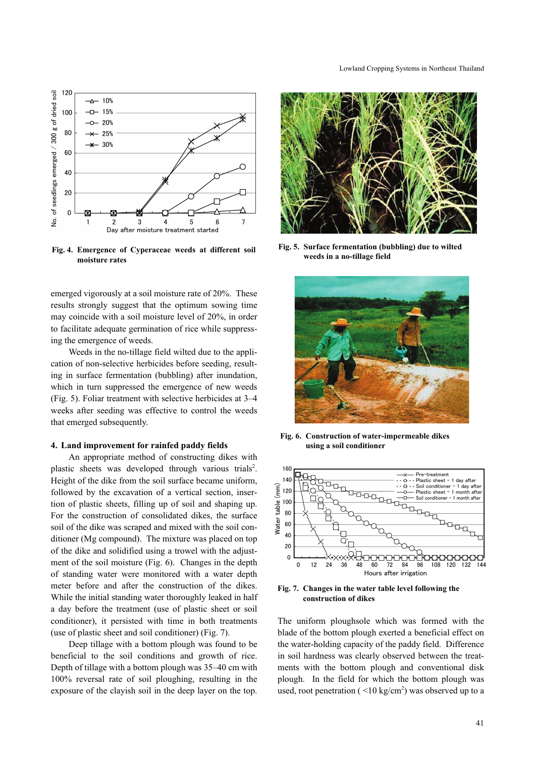

Fig. 4. Emergence of Cyperaceae weeds at different soil moisture rates

emerged vigorously at a soil moisture rate of 20%. These results strongly suggest that the optimum sowing time may coincide with a soil moisture level of 20%, in order to facilitate adequate germination of rice while suppressing the emergence of weeds.

Weeds in the no-tillage field wilted due to the application of non-selective herbicides before seeding, resulting in surface fermentation (bubbling) after inundation, which in turn suppressed the emergence of new weeds (Fig. 5). Foliar treatment with selective herbicides at 3–4 weeks after seeding was effective to control the weeds that emerged subsequently.

#### 4. Land improvement for rainfed paddy fields

An appropriate method of constructing dikes with plastic sheets was developed through various trials<sup>2</sup>. Height of the dike from the soil surface became uniform, followed by the excavation of a vertical section, insertion of plastic sheets, filling up of soil and shaping up. For the construction of consolidated dikes, the surface soil of the dike was scraped and mixed with the soil conditioner (Mg compound). The mixture was placed on top of the dike and solidified using a trowel with the adjustment of the soil moisture (Fig. 6). Changes in the depth of standing water were monitored with a water depth meter before and after the construction of the dikes. While the initial standing water thoroughly leaked in half a day before the treatment (use of plastic sheet or soil conditioner), it persisted with time in both treatments (use of plastic sheet and soil conditioner) (Fig. 7).

Deep tillage with a bottom plough was found to be beneficial to the soil conditions and growth of rice. Depth of tillage with a bottom plough was 35–40 cm with 100% reversal rate of soil ploughing, resulting in the exposure of the clayish soil in the deep layer on the top.



Fig. 5. Surface fermentation (bubbling) due to wilted weeds in a no-tillage field



Fig. 6. Construction of water-impermeable dikes using a soil conditioner



Fig. 7. Changes in the water table level following the construction of dikes

The uniform ploughsole which was formed with the blade of the bottom plough exerted a beneficial effect on the water-holding capacity of the paddy field. Difference in soil hardness was clearly observed between the treatments with the bottom plough and conventional disk plough. In the field for which the bottom plough was used, root penetration  $(<10 \text{ kg/cm}^2$ ) was observed up to a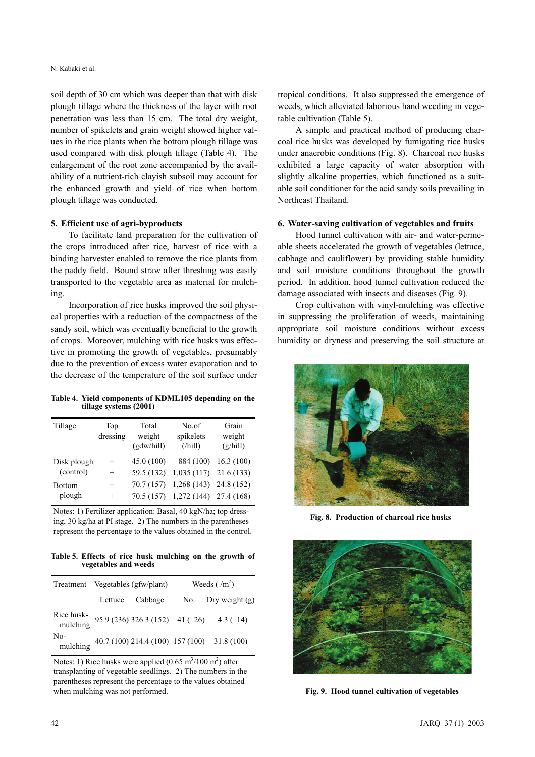#### N. Kabaki et al.

soil depth of 30 cm which was deeper than that with disk plough tillage where the thickness of the layer with root penetration was less than 15 cm. The total dry weight, number of spikelets and grain weight showed higher values in the rice plants when the bottom plough tillage was used compared with disk plough tillage (Table 4). The enlargement of the root zone accompanied by the availability of a nutrient-rich clayish subsoil may account for the enhanced growth and yield of rice when bottom plough tillage was conducted.

#### 5. Efficient use of agri-byproducts

To facilitate land preparation for the cultivation of the crops introduced after rice, harvest of rice with a binding harvester enabled to remove the rice plants from the paddy field. Bound straw after threshing was easily transported to the vegetable area as material for mulching.

Incorporation of rice husks improved the soil physical properties with a reduction of the compactness of the sandy soil, which was eventually beneficial to the growth of crops. Moreover, mulching with rice husks was effective in promoting the growth of vegetables, presumably due to the prevention of excess water evaporation and to the decrease of the temperature of the soil surface under

Table 4. Yield components of KDML105 depending on the tillage systems (2001)

| Tillage       | Top<br>dressing | Total<br>weight<br>(gdw/hill) | No.of<br>spikelets<br>$($ /hill $)$ | Grain<br>weight<br>(g/hill) |
|---------------|-----------------|-------------------------------|-------------------------------------|-----------------------------|
| Disk plough   |                 | 45.0(100)                     |                                     | 884 (100) 16.3 (100)        |
| (control)     | $^{+}$          | 59.5 (132)                    | $1,035(117)$ 21.6 (133)             |                             |
| <b>Bottom</b> |                 | 70.7 (157)                    | 1,268(143)                          | 24.8 (152)                  |
| plough        | $^+$            | 70.5(157)                     | $1,272$ (144) 27.4 (168)            |                             |

Notes: 1) Fertilizer application: Basal, 40 kgN/ha; top dressing, 30 kg/ha at PI stage. 2) The numbers in the parentheses represent the percentage to the values obtained in the control.

Table 5. Effects of rice husk mulching on the growth of vegetables and weeds

| Treatment       | Vegetables (gfw/plant) |                 | Weeds $(\text{m}^2)$ |                                                                |  |
|-----------------|------------------------|-----------------|----------------------|----------------------------------------------------------------|--|
|                 |                        | Lettuce Cabbage |                      | No. Dry weight $(g)$                                           |  |
|                 |                        |                 |                      | Rice husk-<br>mulching 95.9 (236) 326.3 (152) 41 (26) 4.3 (14) |  |
| No-<br>mulching |                        |                 |                      | 40.7 (100) 214.4 (100) 157 (100) 31.8 (100)                    |  |

Notes: 1) Rice husks were applied  $(0.65 \text{ m}^3/100 \text{ m}^2)$  after transplanting of vegetable seedlings. 2) The numbers in the parentheses represent the percentage to the values obtained when mulching was not performed.

tropical conditions. It also suppressed the emergence of weeds, which alleviated laborious hand weeding in vegetable cultivation (Table 5).

A simple and practical method of producing charcoal rice husks was developed by fumigating rice husks under anaerobic conditions (Fig. 8). Charcoal rice husks exhibited a large capacity of water absorption with slightly alkaline properties, which functioned as a suitable soil conditioner for the acid sandy soils prevailing in Northeast Thailand.

#### 6. Water-saving cultivation of vegetables and fruits

Hood tunnel cultivation with air- and water-permeable sheets accelerated the growth of vegetables (lettuce, cabbage and cauliflower) by providing stable humidity and soil moisture conditions throughout the growth period. In addition, hood tunnel cultivation reduced the damage associated with insects and diseases (Fig. 9).

Crop cultivation with vinyl-mulching was effective in suppressing the proliferation of weeds, maintaining appropriate soil moisture conditions without excess humidity or dryness and preserving the soil structure at



Fig. 8. Production of charcoal rice husks



Fig. 9. Hood tunnel cultivation of vegetables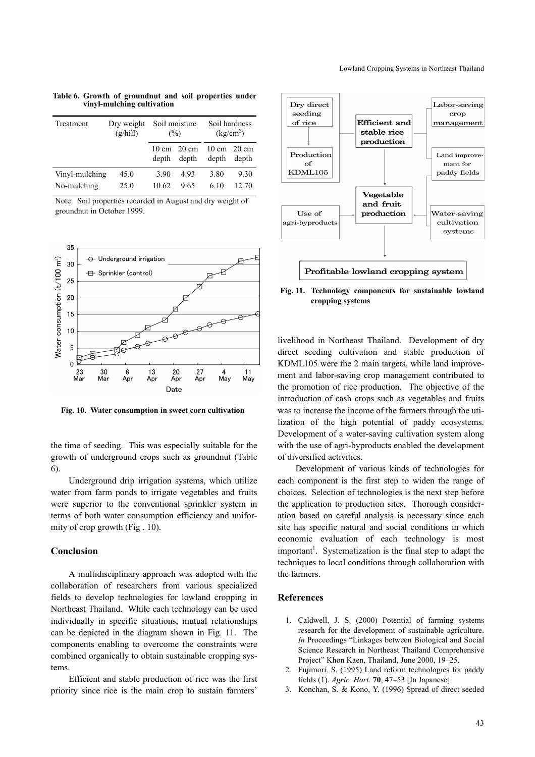Table 6. Growth of groundnut and soil properties under vinyl-mulching cultivation

| Treatment      | Dry weight<br>(g/hill) | Soil moisture<br>$\frac{6}{2}$ |                                          | Soil hardness<br>(kg/cm <sup>2</sup> )   |       |
|----------------|------------------------|--------------------------------|------------------------------------------|------------------------------------------|-------|
|                |                        | depth                          | $10 \text{ cm}$ $20 \text{ cm}$<br>depth | $10 \text{ cm}$ $20 \text{ cm}$<br>depth | depth |
| Vinyl-mulching | 45.0                   | 3.90                           | 4.93                                     | 3.80                                     | 9.30  |
| No-mulching    | 25.0                   | 10.62                          | 9.65                                     | 6.10                                     | 12.70 |

Note: Soil properties recorded in August and dry weight of groundnut in October 1999.



Fig. 10. Water consumption in sweet corn cultivation

the time of seeding. This was especially suitable for the growth of underground crops such as groundnut (Table 6).

Underground drip irrigation systems, which utilize water from farm ponds to irrigate vegetables and fruits were superior to the conventional sprinkler system in terms of both water consumption efficiency and uniformity of crop growth (Fig . 10).

### Conclusion

A multidisciplinary approach was adopted with the collaboration of researchers from various specialized fields to develop technologies for lowland cropping in Northeast Thailand. While each technology can be used individually in specific situations, mutual relationships can be depicted in the diagram shown in Fig. 11. The components enabling to overcome the constraints were combined organically to obtain sustainable cropping systems.

Efficient and stable production of rice was the first priority since rice is the main crop to sustain farmers'



Fig. 11. Technology components for sustainable lowland cropping systems

livelihood in Northeast Thailand. Development of dry direct seeding cultivation and stable production of KDML105 were the 2 main targets, while land improvement and labor-saving crop management contributed to the promotion of rice production. The objective of the introduction of cash crops such as vegetables and fruits was to increase the income of the farmers through the utilization of the high potential of paddy ecosystems. Development of a water-saving cultivation system along with the use of agri-byproducts enabled the development of diversified activities.

Development of various kinds of technologies for each component is the first step to widen the range of choices. Selection of technologies is the next step before the application to production sites. Thorough consideration based on careful analysis is necessary since each site has specific natural and social conditions in which economic evaluation of each technology is most important<sup>1</sup>. Systematization is the final step to adapt the techniques to local conditions through collaboration with the farmers.

### References

- 1. Caldwell, J. S. (2000) Potential of farming systems research for the development of sustainable agriculture. In Proceedings "Linkages between Biological and Social Science Research in Northeast Thailand Comprehensive Project" Khon Kaen, Thailand, June 2000, 19–25.
- 2. Fujimori, S. (1995) Land reform technologies for paddy fields (1). Agric. Hort. 70, 47–53 [In Japanese].
- 3. Konchan, S. & Kono, Y. (1996) Spread of direct seeded